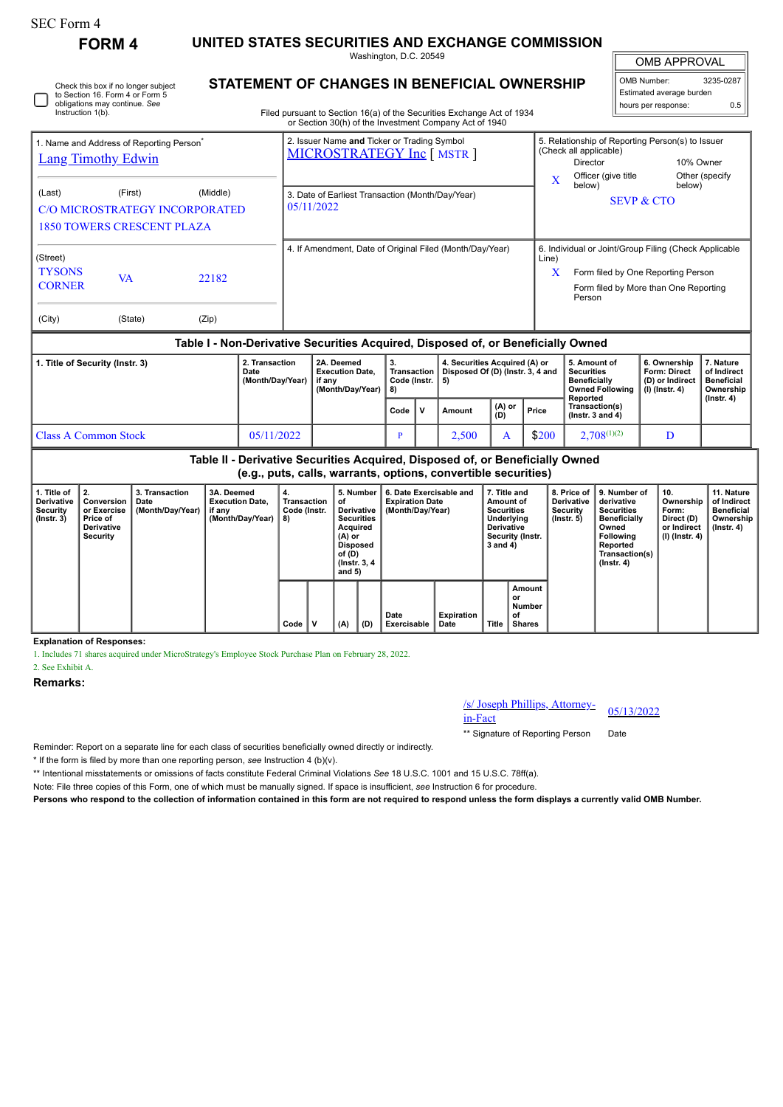| SEC Form 4                                                                                                                                      |                                                                            |  |                                                                                                                                                                                         |                                                                           |                                                |   |                                                                                    |                         |                                                                                                                                              |                                                                                                                                                              |                                                                            |                                                                          |  |
|-------------------------------------------------------------------------------------------------------------------------------------------------|----------------------------------------------------------------------------|--|-----------------------------------------------------------------------------------------------------------------------------------------------------------------------------------------|---------------------------------------------------------------------------|------------------------------------------------|---|------------------------------------------------------------------------------------|-------------------------|----------------------------------------------------------------------------------------------------------------------------------------------|--------------------------------------------------------------------------------------------------------------------------------------------------------------|----------------------------------------------------------------------------|--------------------------------------------------------------------------|--|
| <b>FORM 4</b>                                                                                                                                   | UNITED STATES SECURITIES AND EXCHANGE COMMISSION<br>Washington, D.C. 20549 |  |                                                                                                                                                                                         |                                                                           |                                                |   |                                                                                    |                         |                                                                                                                                              |                                                                                                                                                              |                                                                            |                                                                          |  |
|                                                                                                                                                 |                                                                            |  |                                                                                                                                                                                         |                                                                           |                                                |   |                                                                                    |                         |                                                                                                                                              | <b>OMB APPROVAL</b>                                                                                                                                          |                                                                            |                                                                          |  |
| Check this box if no longer subject<br>to Section 16. Form 4 or Form 5<br>obligations may continue. See<br>Instruction 1(b).                    |                                                                            |  | <b>STATEMENT OF CHANGES IN BENEFICIAL OWNERSHIP</b><br>Filed pursuant to Section 16(a) of the Securities Exchange Act of 1934<br>or Section 30(h) of the Investment Company Act of 1940 |                                                                           |                                                |   | 3235-0287<br>OMB Number:<br>Estimated average burden<br>0.5<br>hours per response: |                         |                                                                                                                                              |                                                                                                                                                              |                                                                            |                                                                          |  |
| 1. Name and Address of Reporting Person <sup>®</sup><br><b>Lang Timothy Edwin</b>                                                               |                                                                            |  |                                                                                                                                                                                         | 2. Issuer Name and Ticker or Trading Symbol<br>MICROSTRATEGY Inc [ MSTR ] |                                                |   |                                                                                    | $\overline{\mathbf{X}}$ | 5. Relationship of Reporting Person(s) to Issuer<br>(Check all applicable)<br>Director<br>10% Owner<br>Officer (give title<br>Other (specify |                                                                                                                                                              |                                                                            |                                                                          |  |
| (Middle)<br>(Last)<br>(First)<br><b>C/O MICROSTRATEGY INCORPORATED</b><br><b>1850 TOWERS CRESCENT PLAZA</b>                                     |                                                                            |  |                                                                                                                                                                                         | 3. Date of Earliest Transaction (Month/Day/Year)<br>05/11/2022            |                                                |   |                                                                                    |                         | below)<br>below)<br><b>SEVP &amp; CTO</b>                                                                                                    |                                                                                                                                                              |                                                                            |                                                                          |  |
| (Street)<br><b>TYSONS</b><br><b>VA</b><br><b>CORNER</b>                                                                                         | 22182                                                                      |  | 4. If Amendment, Date of Original Filed (Month/Day/Year)                                                                                                                                |                                                                           |                                                |   |                                                                                    |                         |                                                                                                                                              | 6. Individual or Joint/Group Filing (Check Applicable<br>Line)<br>X<br>Form filed by One Reporting Person<br>Form filed by More than One Reporting<br>Person |                                                                            |                                                                          |  |
| (City)<br>(State)                                                                                                                               | (Zip)                                                                      |  |                                                                                                                                                                                         |                                                                           |                                                |   |                                                                                    |                         |                                                                                                                                              |                                                                                                                                                              |                                                                            |                                                                          |  |
| Table I - Non-Derivative Securities Acquired, Disposed of, or Beneficially Owned                                                                |                                                                            |  |                                                                                                                                                                                         |                                                                           |                                                |   |                                                                                    |                         |                                                                                                                                              |                                                                                                                                                              |                                                                            |                                                                          |  |
| 1. Title of Security (Instr. 3)<br>Date                                                                                                         |                                                                            |  | 2. Transaction<br>(Month/Day/Year)                                                                                                                                                      | 2A. Deemed<br><b>Execution Date,</b><br>if any<br>(Month/Day/Year)        | 3.<br><b>Transaction</b><br>Code (Instr.<br>8) |   | 4. Securities Acquired (A) or<br>Disposed Of (D) (Instr. 3, 4 and<br>5)            |                         |                                                                                                                                              | 5. Amount of<br><b>Securities</b><br><b>Beneficially</b><br><b>Owned Following</b><br>Reported                                                               | 6. Ownership<br><b>Form: Direct</b><br>(D) or Indirect<br>$(l)$ (Instr. 4) | 7. Nature<br>of Indirect<br><b>Beneficial</b><br>Ownership<br>(Instr. 4) |  |
|                                                                                                                                                 |                                                                            |  |                                                                                                                                                                                         |                                                                           | Code                                           | v | Amount                                                                             | $(A)$ or<br>(D)         | Price                                                                                                                                        | Transaction(s)<br>( $lnstr. 3 and 4$ )                                                                                                                       |                                                                            |                                                                          |  |
| <b>Class A Common Stock</b><br>05/11/2022                                                                                                       |                                                                            |  |                                                                                                                                                                                         |                                                                           | P                                              |   | 2,500                                                                              | A                       | \$200                                                                                                                                        | $2,708^{(1)(2)}$                                                                                                                                             | D                                                                          |                                                                          |  |
| Table II - Derivative Securities Acquired, Disposed of, or Beneficially Owned<br>(e.g., puts, calls, warrants, options, convertible securities) |                                                                            |  |                                                                                                                                                                                         |                                                                           |                                                |   |                                                                                    |                         |                                                                                                                                              |                                                                                                                                                              |                                                                            |                                                                          |  |

| 1. Title of<br><b>Derivative</b><br>Security<br>$($ lnstr. 3 $)$ | 2.<br>Conversion<br>or Exercise<br>Price of<br>Derivative<br>Security | 3. Transaction<br>Date<br>(Month/Day/Year) | 3A. Deemed<br><b>Execution Date.</b><br>∣ if any<br>(Month/Day/Year) | 4.<br>Transaction<br>Code (Instr.<br>8) |  | 5. Number<br>οf<br>Derivative<br><b>Securities</b><br>Acquired<br>$(A)$ or<br>Disposed<br>of (D)<br>(Instr. 3, 4)<br>and $5)$ |     | 6. Date Exercisable and<br><b>Expiration Date</b><br>(Month/Day/Year) |                           | 7. Title and<br>Amount of<br><b>Securities</b><br>Underlying<br><b>Derivative</b><br>Security (Instr.<br>$3$ and $4)$ |                                               | 8. Price of I<br>Derivative<br>Security<br>(Instr. 5) | 9. Number of<br>derivative<br><b>Securities</b><br><b>Beneficially</b><br>Owned<br>Following<br>Reported<br>Transaction(s)<br>$($ lnstr. 4 $)$ | 10.<br>Ownership<br>Form:<br>Direct (D)<br>or Indirect<br>(I) (Instr. 4) | 11. Nature<br>of Indirect<br><b>Beneficial</b><br>Ownership<br>, (Instr. 4) |
|------------------------------------------------------------------|-----------------------------------------------------------------------|--------------------------------------------|----------------------------------------------------------------------|-----------------------------------------|--|-------------------------------------------------------------------------------------------------------------------------------|-----|-----------------------------------------------------------------------|---------------------------|-----------------------------------------------------------------------------------------------------------------------|-----------------------------------------------|-------------------------------------------------------|------------------------------------------------------------------------------------------------------------------------------------------------|--------------------------------------------------------------------------|-----------------------------------------------------------------------------|
|                                                                  |                                                                       |                                            |                                                                      | Code                                    |  | (A)                                                                                                                           | (D) | Date<br>Exercisable                                                   | <b>Expiration</b><br>Date | Title                                                                                                                 | Amount<br>or<br><b>Number</b><br>οf<br>Shares |                                                       |                                                                                                                                                |                                                                          |                                                                             |

**Explanation of Responses:**

1. Includes 71 shares acquired under MicroStrategy's Employee Stock Purchase Plan on February 28, 2022.

2. See Exhibit A.

**Remarks:**

/s/ Joseph Phillips, Attorney-in-Fact 05/13/2022

\*\* Signature of Reporting Person Date

Reminder: Report on a separate line for each class of securities beneficially owned directly or indirectly.

\* If the form is filed by more than one reporting person, *see* Instruction 4 (b)(v).

\*\* Intentional misstatements or omissions of facts constitute Federal Criminal Violations *See* 18 U.S.C. 1001 and 15 U.S.C. 78ff(a).

Note: File three copies of this Form, one of which must be manually signed. If space is insufficient, *see* Instruction 6 for procedure.

**Persons who respond to the collection of information contained in this form are not required to respond unless the form displays a currently valid OMB Number.**